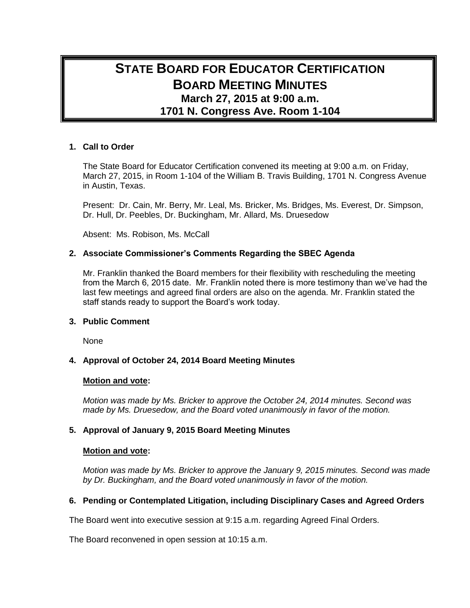# **STATE BOARD FOR EDUCATOR CERTIFICATION BOARD MEETING MINUTES March 27, 2015 at 9:00 a.m. 1701 N. Congress Ave. Room 1-104**

# **1. Call to Order**

The State Board for Educator Certification convened its meeting at 9:00 a.m. on Friday, March 27, 2015, in Room 1-104 of the William B. Travis Building, 1701 N. Congress Avenue in Austin, Texas.

Present: Dr. Cain, Mr. Berry, Mr. Leal, Ms. Bricker, Ms. Bridges, Ms. Everest, Dr. Simpson, Dr. Hull, Dr. Peebles, Dr. Buckingham, Mr. Allard, Ms. Druesedow

Absent: Ms. Robison, Ms. McCall

# **2. Associate Commissioner's Comments Regarding the SBEC Agenda**

Mr. Franklin thanked the Board members for their flexibility with rescheduling the meeting from the March 6, 2015 date. Mr. Franklin noted there is more testimony than we've had the last few meetings and agreed final orders are also on the agenda. Mr. Franklin stated the staff stands ready to support the Board's work today.

### **3. Public Comment**

None

# **4. Approval of October 24, 2014 Board Meeting Minutes**

### **Motion and vote:**

*Motion was made by Ms. Bricker to approve the October 24, 2014 minutes. Second was made by Ms. Druesedow, and the Board voted unanimously in favor of the motion.*

# **5. Approval of January 9, 2015 Board Meeting Minutes**

### **Motion and vote:**

*Motion was made by Ms. Bricker to approve the January 9, 2015 minutes. Second was made by Dr. Buckingham, and the Board voted unanimously in favor of the motion.*

# **6. Pending or Contemplated Litigation, including Disciplinary Cases and Agreed Orders**

The Board went into executive session at 9:15 a.m. regarding Agreed Final Orders.

The Board reconvened in open session at 10:15 a.m.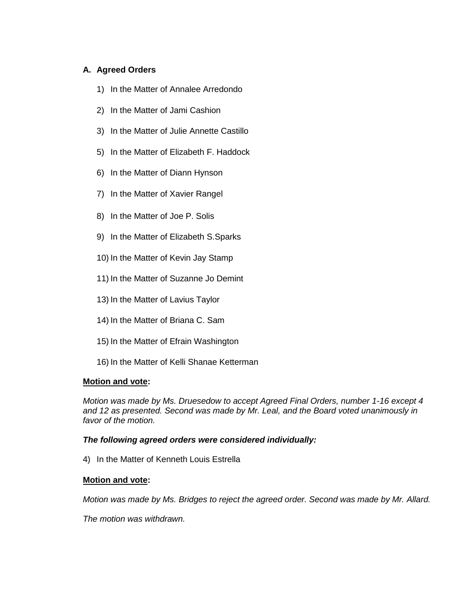# **A. Agreed Orders**

- 1) In the Matter of Annalee Arredondo
- 2) In the Matter of Jami Cashion
- 3) In the Matter of Julie Annette Castillo
- 5) In the Matter of Elizabeth F. Haddock
- 6) In the Matter of Diann Hynson
- 7) In the Matter of Xavier Rangel
- 8) In the Matter of Joe P. Solis
- 9) In the Matter of Elizabeth S.Sparks
- 10) In the Matter of Kevin Jay Stamp
- 11) In the Matter of Suzanne Jo Demint
- 13) In the Matter of Lavius Taylor
- 14) In the Matter of Briana C. Sam
- 15) In the Matter of Efrain Washington
- 16) In the Matter of Kelli Shanae Ketterman

# **Motion and vote:**

*Motion was made by Ms. Druesedow to accept Agreed Final Orders, number 1-16 except 4 and 12 as presented. Second was made by Mr. Leal, and the Board voted unanimously in favor of the motion.*

# *The following agreed orders were considered individually:*

4) In the Matter of Kenneth Louis Estrella

### **Motion and vote:**

*Motion was made by Ms. Bridges to reject the agreed order. Second was made by Mr. Allard.* 

*The motion was withdrawn.*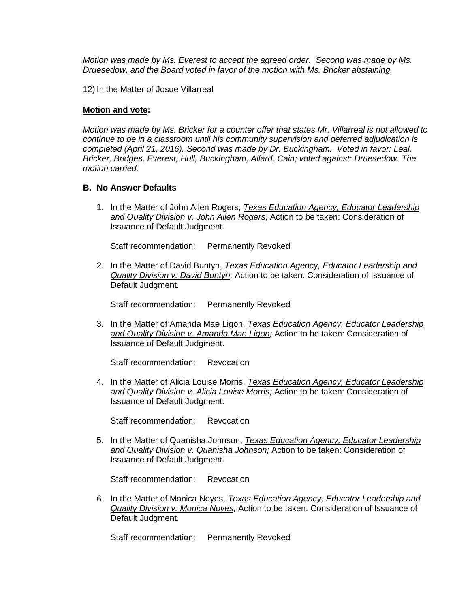*Motion was made by Ms. Everest to accept the agreed order. Second was made by Ms. Druesedow, and the Board voted in favor of the motion with Ms. Bricker abstaining.*

12) In the Matter of Josue Villarreal

### **Motion and vote:**

*Motion was made by Ms. Bricker for a counter offer that states Mr. Villarreal is not allowed to continue to be in a classroom until his community supervision and deferred adjudication is completed (April 21, 2016). Second was made by Dr. Buckingham. Voted in favor: Leal, Bricker, Bridges, Everest, Hull, Buckingham, Allard, Cain; voted against: Druesedow. The motion carried.*

### **B. No Answer Defaults**

1. In the Matter of John Allen Rogers, *Texas Education Agency, Educator Leadership and Quality Division v. John Allen Rogers;* Action to be taken: Consideration of Issuance of Default Judgment.

Staff recommendation: Permanently Revoked

2. In the Matter of David Buntyn, *Texas Education Agency, Educator Leadership and Quality Division v. David Buntyn;* Action to be taken: Consideration of Issuance of Default Judgment.

Staff recommendation: Permanently Revoked

3. In the Matter of Amanda Mae Ligon, *Texas Education Agency, Educator Leadership and Quality Division v. Amanda Mae Ligon;* Action to be taken: Consideration of Issuance of Default Judgment.

Staff recommendation: Revocation

4. In the Matter of Alicia Louise Morris, *Texas Education Agency, Educator Leadership and Quality Division v. Alicia Louise Morris;* Action to be taken: Consideration of Issuance of Default Judgment.

Staff recommendation: Revocation

5. In the Matter of Quanisha Johnson, *Texas Education Agency, Educator Leadership and Quality Division v. Quanisha Johnson;* Action to be taken: Consideration of Issuance of Default Judgment.

Staff recommendation: Revocation

6. In the Matter of Monica Noyes, *Texas Education Agency, Educator Leadership and Quality Division v. Monica Noyes;* Action to be taken: Consideration of Issuance of Default Judgment.

Staff recommendation: Permanently Revoked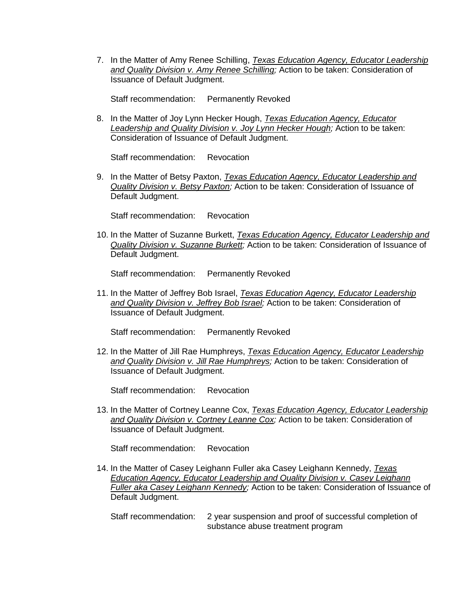7. In the Matter of Amy Renee Schilling, *Texas Education Agency, Educator Leadership and Quality Division v. Amy Renee Schilling;* Action to be taken: Consideration of Issuance of Default Judgment.

Staff recommendation: Permanently Revoked

8. In the Matter of Joy Lynn Hecker Hough, *Texas Education Agency, Educator Leadership and Quality Division v. Joy Lynn Hecker Hough;* Action to be taken: Consideration of Issuance of Default Judgment.

Staff recommendation: Revocation

9. In the Matter of Betsy Paxton, *Texas Education Agency, Educator Leadership and Quality Division v. Betsy Paxton;* Action to be taken: Consideration of Issuance of Default Judgment.

Staff recommendation: Revocation

10. In the Matter of Suzanne Burkett, *Texas Education Agency, Educator Leadership and Quality Division v. Suzanne Burkett;* Action to be taken: Consideration of Issuance of Default Judgment.

Staff recommendation: Permanently Revoked

11. In the Matter of Jeffrey Bob Israel, *Texas Education Agency, Educator Leadership and Quality Division v. Jeffrey Bob Israel;* Action to be taken: Consideration of Issuance of Default Judgment.

Staff recommendation: Permanently Revoked

12. In the Matter of Jill Rae Humphreys, *Texas Education Agency, Educator Leadership and Quality Division v. Jill Rae Humphreys;* Action to be taken: Consideration of Issuance of Default Judgment.

Staff recommendation: Revocation

13. In the Matter of Cortney Leanne Cox, *Texas Education Agency, Educator Leadership and Quality Division v. Cortney Leanne Cox;* Action to be taken: Consideration of Issuance of Default Judgment.

Staff recommendation: Revocation

14. In the Matter of Casey Leighann Fuller aka Casey Leighann Kennedy, *Texas Education Agency, Educator Leadership and Quality Division v. Casey Leighann Fuller aka Casey Leighann Kennedy;* Action to be taken: Consideration of Issuance of Default Judgment.

Staff recommendation: 2 year suspension and proof of successful completion of substance abuse treatment program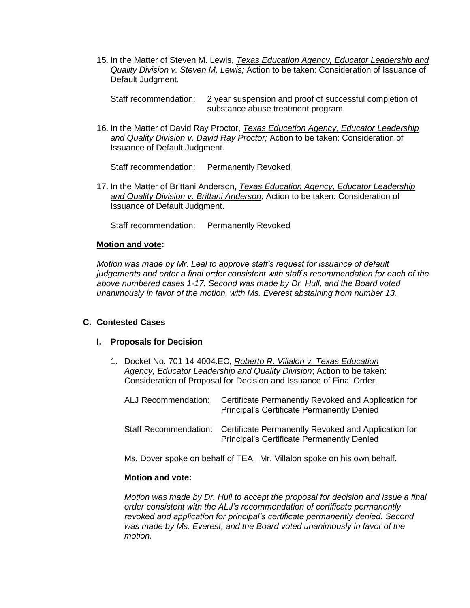15. In the Matter of Steven M. Lewis, *Texas Education Agency, Educator Leadership and Quality Division v. Steven M. Lewis;* Action to be taken: Consideration of Issuance of Default Judgment.

Staff recommendation: 2 year suspension and proof of successful completion of substance abuse treatment program

16. In the Matter of David Ray Proctor, *Texas Education Agency, Educator Leadership and Quality Division v. David Ray Proctor;* Action to be taken: Consideration of Issuance of Default Judgment.

Staff recommendation: Permanently Revoked

17. In the Matter of Brittani Anderson, *Texas Education Agency, Educator Leadership and Quality Division v. Brittani Anderson;* Action to be taken: Consideration of Issuance of Default Judgment.

Staff recommendation: Permanently Revoked

### **Motion and vote:**

*Motion was made by Mr. Leal to approve staff's request for issuance of default judgements and enter a final order consistent with staff's recommendation for each of the above numbered cases 1-17. Second was made by Dr. Hull, and the Board voted unanimously in favor of the motion, with Ms. Everest abstaining from number 13.*

### **C. Contested Cases**

#### **I. Proposals for Decision**

1. Docket No. 701 14 4004.EC, *Roberto R. Villalon v. Texas Education Agency, Educator Leadership and Quality Division*; Action to be taken: Consideration of Proposal for Decision and Issuance of Final Order.

| ALJ Recommendation: | Certificate Permanently Revoked and Application for<br><b>Principal's Certificate Permanently Denied</b>                       |
|---------------------|--------------------------------------------------------------------------------------------------------------------------------|
|                     | Staff Recommendation: Certificate Permanently Revoked and Application for<br><b>Principal's Certificate Permanently Denied</b> |

Ms. Dover spoke on behalf of TEA. Mr. Villalon spoke on his own behalf.

#### **Motion and vote:**

*Motion was made by Dr. Hull to accept the proposal for decision and issue a final order consistent with the ALJ's recommendation of certificate permanently revoked and application for principal's certificate permanently denied. Second was made by Ms. Everest, and the Board voted unanimously in favor of the motion.*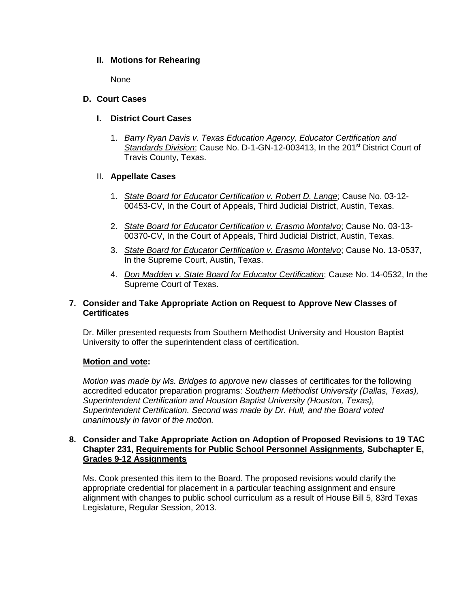# **II. Motions for Rehearing**

**None** 

# **D. Court Cases**

- **I. District Court Cases**
	- 1. *Barry Ryan Davis v. Texas Education Agency, Educator Certification and* Standards Division; Cause No. D-1-GN-12-003413, In the 201<sup>st</sup> District Court of Travis County, Texas.

# II. **Appellate Cases**

- 1. *State Board for Educator Certification v. Robert D. Lange*; Cause No. 03-12- 00453-CV, In the Court of Appeals, Third Judicial District, Austin, Texas.
- 2. *State Board for Educator Certification v. Erasmo Montalvo*; Cause No. 03-13- 00370-CV, In the Court of Appeals, Third Judicial District, Austin, Texas.
- 3. *State Board for Educator Certification v. Erasmo Montalvo*; Cause No. 13-0537, In the Supreme Court, Austin, Texas.
- 4. *Don Madden v. State Board for Educator Certification*; Cause No. 14-0532, In the Supreme Court of Texas.

# **7. Consider and Take Appropriate Action on Request to Approve New Classes of Certificates**

Dr. Miller presented requests from Southern Methodist University and Houston Baptist University to offer the superintendent class of certification.

# **Motion and vote:**

*Motion was made by Ms. Bridges to approve* new classes of certificates for the following accredited educator preparation programs: *Southern Methodist University (Dallas, Texas), Superintendent Certification and Houston Baptist University (Houston, Texas), Superintendent Certification. Second was made by Dr. Hull, and the Board voted unanimously in favor of the motion.*

# **8. Consider and Take Appropriate Action on Adoption of Proposed Revisions to 19 TAC Chapter 231, Requirements for Public School Personnel Assignments, Subchapter E, Grades 9-12 Assignments**

Ms. Cook presented this item to the Board. The proposed revisions would clarify the appropriate credential for placement in a particular teaching assignment and ensure alignment with changes to public school curriculum as a result of House Bill 5, 83rd Texas Legislature, Regular Session, 2013.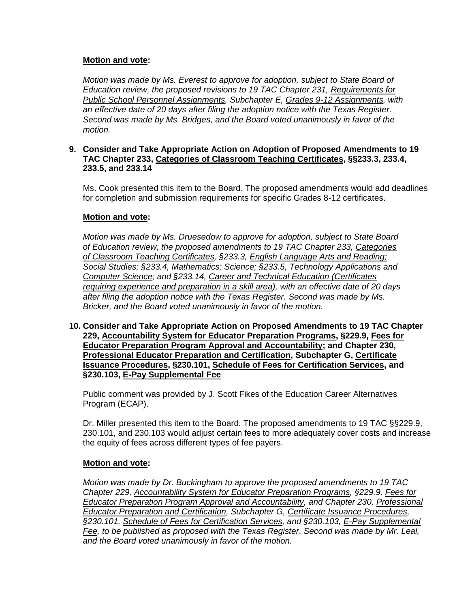# **Motion and vote:**

*Motion was made by Ms. Everest to approve for adoption, subject to State Board of Education review, the proposed revisions to 19 TAC Chapter 231, Requirements for Public School Personnel Assignments, Subchapter E, Grades 9-12 Assignments, with an effective date of 20 days after filing the adoption notice with the Texas Register. Second was made by Ms. Bridges, and the Board voted unanimously in favor of the motion.*

# **9. Consider and Take Appropriate Action on Adoption of Proposed Amendments to 19 TAC Chapter 233, Categories of Classroom Teaching Certificates, §§233.3, 233.4, 233.5, and 233.14**

Ms. Cook presented this item to the Board. The proposed amendments would add deadlines for completion and submission requirements for specific Grades 8-12 certificates.

# **Motion and vote:**

*Motion was made by Ms. Druesedow to approve for adoption, subject to State Board of Education review, the proposed amendments to 19 TAC Chapter 233, Categories of Classroom Teaching Certificates, §233.3, English Language Arts and Reading; Social Studies; §233.4, Mathematics; Science; §233.5, Technology Applications and Computer Science; and §233.14, Career and Technical Education (Certificates requiring experience and preparation in a skill area), with an effective date of 20 days after filing the adoption notice with the Texas Register. Second was made by Ms. Bricker, and the Board voted unanimously in favor of the motion.*

**10. Consider and Take Appropriate Action on Proposed Amendments to 19 TAC Chapter 229, Accountability System for Educator Preparation Programs, §229.9, Fees for Educator Preparation Program Approval and Accountability; and Chapter 230, Professional Educator Preparation and Certification, Subchapter G, Certificate Issuance Procedures, §230.101, Schedule of Fees for Certification Services, and §230.103, E-Pay Supplemental Fee**

Public comment was provided by J. Scott Fikes of the Education Career Alternatives Program (ECAP).

Dr. Miller presented this item to the Board. The proposed amendments to 19 TAC §§229.9, 230.101, and 230.103 would adjust certain fees to more adequately cover costs and increase the equity of fees across different types of fee payers.

# **Motion and vote:**

*Motion was made by Dr. Buckingham to approve the proposed amendments to 19 TAC Chapter 229, Accountability System for Educator Preparation Programs, §229.9, Fees for Educator Preparation Program Approval and Accountability, and Chapter 230, Professional Educator Preparation and Certification, Subchapter G, Certificate Issuance Procedures, §230.101, Schedule of Fees for Certification Services, and §230.103, E-Pay Supplemental Fee, to be published as proposed with the Texas Register*. *Second was made by Mr. Leal, and the Board voted unanimously in favor of the motion.*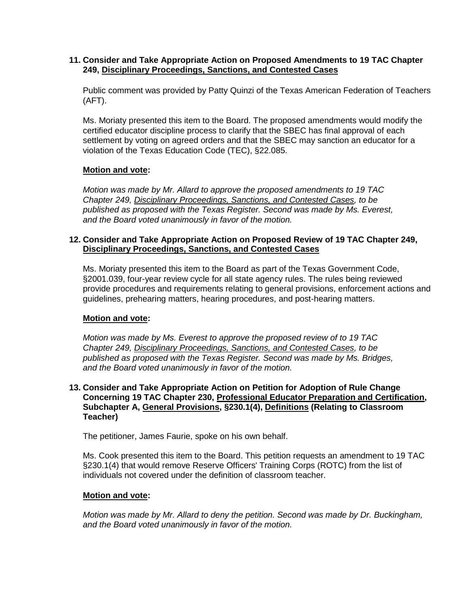# **11. Consider and Take Appropriate Action on Proposed Amendments to 19 TAC Chapter 249, Disciplinary Proceedings, Sanctions, and Contested Cases**

Public comment was provided by Patty Quinzi of the Texas American Federation of Teachers (AFT).

Ms. Moriaty presented this item to the Board. The proposed amendments would modify the certified educator discipline process to clarify that the SBEC has final approval of each settlement by voting on agreed orders and that the SBEC may sanction an educator for a violation of the Texas Education Code (TEC), §22.085.

# **Motion and vote:**

*Motion was made by Mr. Allard to approve the proposed amendments to 19 TAC Chapter 249, Disciplinary Proceedings, Sanctions, and Contested Cases, to be published as proposed with the Texas Register. Second was made by Ms. Everest, and the Board voted unanimously in favor of the motion.*

# **12. Consider and Take Appropriate Action on Proposed Review of 19 TAC Chapter 249, Disciplinary Proceedings, Sanctions, and Contested Cases**

Ms. Moriaty presented this item to the Board as part of the Texas Government Code, §2001.039, four-year review cycle for all state agency rules. The rules being reviewed provide procedures and requirements relating to general provisions, enforcement actions and guidelines, prehearing matters, hearing procedures, and post-hearing matters.

# **Motion and vote:**

*Motion was made by Ms. Everest to approve the proposed review of to 19 TAC Chapter 249, Disciplinary Proceedings, Sanctions, and Contested Cases, to be published as proposed with the Texas Register. Second was made by Ms. Bridges, and the Board voted unanimously in favor of the motion.*

# **13. Consider and Take Appropriate Action on Petition for Adoption of Rule Change Concerning 19 TAC Chapter 230, Professional Educator Preparation and Certification, Subchapter A, General Provisions, §230.1(4), Definitions (Relating to Classroom Teacher)**

The petitioner, James Faurie, spoke on his own behalf.

Ms. Cook presented this item to the Board. This petition requests an amendment to 19 TAC §230.1(4) that would remove Reserve Officers' Training Corps (ROTC) from the list of individuals not covered under the definition of classroom teacher.

# **Motion and vote:**

*Motion was made by Mr. Allard to deny the petition. Second was made by Dr. Buckingham, and the Board voted unanimously in favor of the motion.*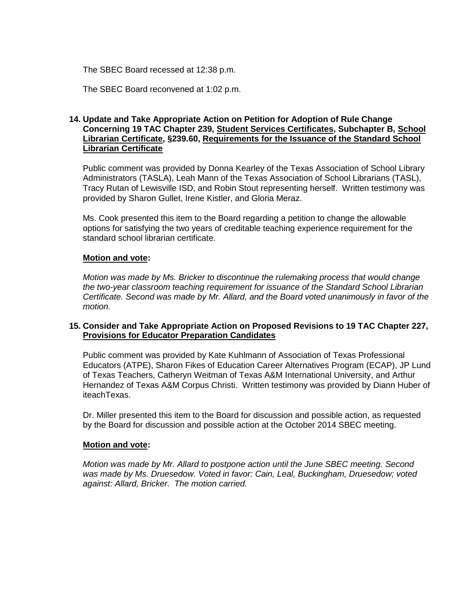The SBEC Board recessed at 12:38 p.m.

The SBEC Board reconvened at 1:02 p.m.

# **14. Update and Take Appropriate Action on Petition for Adoption of Rule Change Concerning 19 TAC Chapter 239, Student Services Certificates, Subchapter B, School Librarian Certificate, §239.60, Requirements for the Issuance of the Standard School Librarian Certificate**

Public comment was provided by Donna Kearley of the Texas Association of School Library Administrators (TASLA), Leah Mann of the Texas Association of School Librarians (TASL), Tracy Rutan of Lewisville ISD, and Robin Stout representing herself. Written testimony was provided by Sharon Gullet, Irene Kistler, and Gloria Meraz.

Ms. Cook presented this item to the Board regarding a petition to change the allowable options for satisfying the two years of creditable teaching experience requirement for the standard school librarian certificate.

# **Motion and vote:**

*Motion was made by Ms. Bricker to discontinue the rulemaking process that would change the two-year classroom teaching requirement for issuance of the Standard School Librarian Certificate. Second was made by Mr. Allard, and the Board voted unanimously in favor of the motion.*

# **15. Consider and Take Appropriate Action on Proposed Revisions to 19 TAC Chapter 227, Provisions for Educator Preparation Candidates**

Public comment was provided by Kate Kuhlmann of Association of Texas Professional Educators (ATPE), Sharon Fikes of Education Career Alternatives Program (ECAP), JP Lund of Texas Teachers, Catheryn Weitman of Texas A&M International University, and Arthur Hernandez of Texas A&M Corpus Christi. Written testimony was provided by Diann Huber of iteachTexas.

Dr. Miller presented this item to the Board for discussion and possible action, as requested by the Board for discussion and possible action at the October 2014 SBEC meeting.

### **Motion and vote:**

*Motion was made by Mr. Allard to postpone action until the June SBEC meeting. Second was made by Ms. Druesedow. Voted in favor: Cain, Leal, Buckingham, Druesedow; voted against: Allard, Bricker. The motion carried.*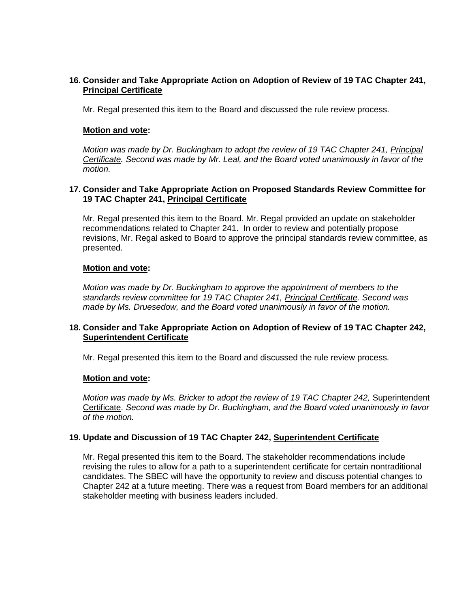# **16. Consider and Take Appropriate Action on Adoption of Review of 19 TAC Chapter 241, Principal Certificate**

Mr. Regal presented this item to the Board and discussed the rule review process.

### **Motion and vote:**

*Motion was made by Dr. Buckingham to adopt the review of 19 TAC Chapter 241, Principal Certificate. Second was made by Mr. Leal, and the Board voted unanimously in favor of the motion.*

# **17. Consider and Take Appropriate Action on Proposed Standards Review Committee for 19 TAC Chapter 241, Principal Certificate**

Mr. Regal presented this item to the Board. Mr. Regal provided an update on stakeholder recommendations related to Chapter 241. In order to review and potentially propose revisions, Mr. Regal asked to Board to approve the principal standards review committee, as presented.

# **Motion and vote:**

*Motion was made by Dr. Buckingham to approve the appointment of members to the standards review committee for 19 TAC Chapter 241, Principal Certificate. Second was made by Ms. Druesedow, and the Board voted unanimously in favor of the motion.*

# **18. Consider and Take Appropriate Action on Adoption of Review of 19 TAC Chapter 242, Superintendent Certificate**

Mr. Regal presented this item to the Board and discussed the rule review process.

### **Motion and vote:**

*Motion was made by Ms. Bricker to adopt the review of 19 TAC Chapter 242, Superintendent* Certificate. *Second was made by Dr. Buckingham, and the Board voted unanimously in favor of the motion.*

### **19. Update and Discussion of 19 TAC Chapter 242, Superintendent Certificate**

Mr. Regal presented this item to the Board. The stakeholder recommendations include revising the rules to allow for a path to a superintendent certificate for certain nontraditional candidates. The SBEC will have the opportunity to review and discuss potential changes to Chapter 242 at a future meeting. There was a request from Board members for an additional stakeholder meeting with business leaders included.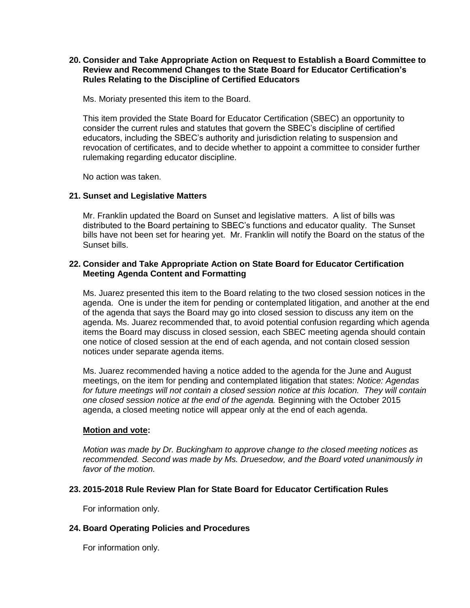# **20. Consider and Take Appropriate Action on Request to Establish a Board Committee to Review and Recommend Changes to the State Board for Educator Certification's Rules Relating to the Discipline of Certified Educators**

Ms. Moriaty presented this item to the Board.

This item provided the State Board for Educator Certification (SBEC) an opportunity to consider the current rules and statutes that govern the SBEC's discipline of certified educators, including the SBEC's authority and jurisdiction relating to suspension and revocation of certificates, and to decide whether to appoint a committee to consider further rulemaking regarding educator discipline.

No action was taken.

# **21. Sunset and Legislative Matters**

Mr. Franklin updated the Board on Sunset and legislative matters. A list of bills was distributed to the Board pertaining to SBEC's functions and educator quality. The Sunset bills have not been set for hearing yet. Mr. Franklin will notify the Board on the status of the Sunset bills.

# **22. Consider and Take Appropriate Action on State Board for Educator Certification Meeting Agenda Content and Formatting**

Ms. Juarez presented this item to the Board relating to the two closed session notices in the agenda. One is under the item for pending or contemplated litigation, and another at the end of the agenda that says the Board may go into closed session to discuss any item on the agenda. Ms. Juarez recommended that, to avoid potential confusion regarding which agenda items the Board may discuss in closed session, each SBEC meeting agenda should contain one notice of closed session at the end of each agenda, and not contain closed session notices under separate agenda items.

Ms. Juarez recommended having a notice added to the agenda for the June and August meetings, on the item for pending and contemplated litigation that states: *Notice: Agendas for future meetings will not contain a closed session notice at this location. They will contain one closed session notice at the end of the agenda.* Beginning with the October 2015 agenda, a closed meeting notice will appear only at the end of each agenda.

# **Motion and vote:**

*Motion was made by Dr. Buckingham to approve change to the closed meeting notices as recommended. Second was made by Ms. Druesedow, and the Board voted unanimously in favor of the motion.*

# **23. 2015-2018 Rule Review Plan for State Board for Educator Certification Rules**

For information only.

# **24. Board Operating Policies and Procedures**

For information only.